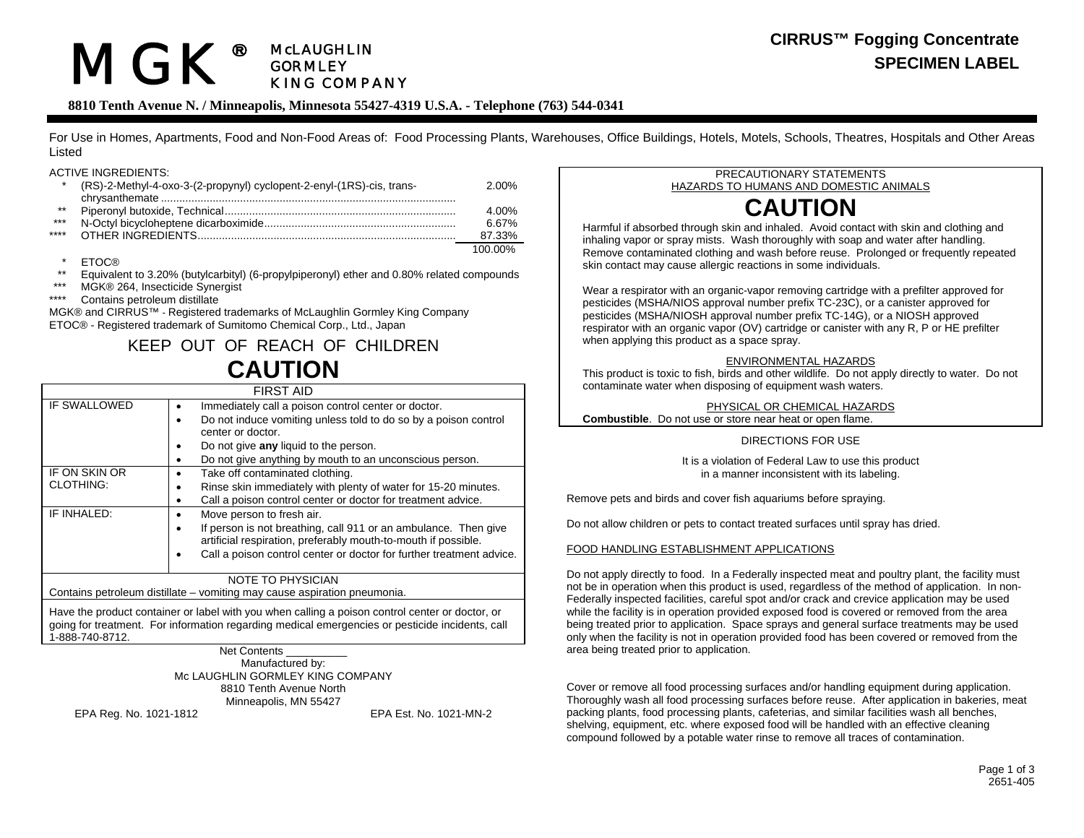#### MGK**®** McLAUGHLIN GORMLEY KING COMPANY

## **CIRRUS™ Fogging Concentrate SPECIMEN LABEL**

## **8810 Tenth Avenue N. / Minneapolis, Minnesota 55427-4319 U.S.A. - Telephone (763) 544-0341**

For Use in Homes, Apartments, Food and Non-Food Areas of: Food Processing Plants, Warehouses, Office Buildings, Hotels, Motels, Schools, Theatres, Hospitals and Other Areas Listed

#### ACTIVE INGREDIENTS:

|       | (RS)-2-Methyl-4-oxo-3-(2-propynyl) cyclopent-2-enyl-(1RS)-cis, trans- | 2.00%   |
|-------|-----------------------------------------------------------------------|---------|
|       |                                                                       |         |
| $***$ |                                                                       | 4.00%   |
| ***   |                                                                       | 6.67%   |
| ****  |                                                                       | 87.33%  |
|       |                                                                       | 100.00% |

**ETOC®** 

- \*\* Equivalent to 3.20% (butylcarbityl) (6-propylpiperonyl) ether and 0.80% related compounds<br>\*\*\* MGK® 264 Insecticide Synergist
- \*\*\* MGK® 264, Insecticide Synergist<br>\*\*\*\* Contains petroleum distillate
- Contains petroleum distillate

MGK® and CIRRUS™ - Registered trademarks of McLaughlin Gormley King Company ETOC® - Registered trademark of Sumitomo Chemical Corp., Ltd., Japan

# KEEP OUT OF REACH OF CHILDREN **CAUTION**

| <b>FIRST AID</b>                                                                             |                                                                                                                                                                                                                                                                |  |  |
|----------------------------------------------------------------------------------------------|----------------------------------------------------------------------------------------------------------------------------------------------------------------------------------------------------------------------------------------------------------------|--|--|
| IF SWALLOWED                                                                                 | Immediately call a poison control center or doctor.<br>Do not induce vomiting unless told to do so by a poison control<br>٠<br>center or doctor.<br>Do not give any liquid to the person.<br>٠<br>Do not give anything by mouth to an unconscious person.<br>٠ |  |  |
| IF ON SKIN OR<br><b>CLOTHING:</b>                                                            | Take off contaminated clothing.<br>٠<br>Rinse skin immediately with plenty of water for 15-20 minutes.<br>٠<br>Call a poison control center or doctor for treatment advice.<br>٠                                                                               |  |  |
| IF INHALED:                                                                                  | Move person to fresh air.<br>٠<br>If person is not breathing, call 911 or an ambulance. Then give<br>٠<br>artificial respiration, preferably mouth-to-mouth if possible.<br>Call a poison control center or doctor for further treatment advice.<br>٠          |  |  |
| NOTE TO PHYSICIAN<br>Containe netraleum dietillate - vemiting mou couse coniration neoumenio |                                                                                                                                                                                                                                                                |  |  |

Contains petroleum distillate – vomiting may cause aspiration pneumonia.

Have the product container or label with you when calling a poison control center or doctor, or going for treatment. For information regarding medical emergencies or pesticide incidents, call 1-888-740-8712.

#### Net Contents Manufactured by: Mc LAUGHLIN GORMLEY KING COMPANY 8810 Tenth Avenue North Minneapolis, MN 55427

EPA Reg. No. 1021-1812 EPA Est. No. 1021-MN-2

#### PRECAUTIONARY STATEMENTS HAZARDS TO HUMANS AND DOMESTIC ANIMALS

# **CAUTION**

Harmful if absorbed through skin and inhaled. Avoid contact with skin and clothing and inhaling vapor or spray mists. Wash thoroughly with soap and water after handling. Remove contaminated clothing and wash before reuse. Prolonged or frequently repeated skin contact may cause allergic reactions in some individuals.

Wear a respirator with an organic-vapor removing cartridge with a prefilter approved for pesticides (MSHA/NIOS approval number prefix TC-23C), or a canister approved for pesticides (MSHA/NIOSH approval number prefix TC-14G), or a NIOSH approved respirator with an organic vapor (OV) cartridge or canister with any R, P or HE prefilter when applying this product as a space spray.

#### ENVIRONMENTAL HAZARDS

This product is toxic to fish, birds and other wildlife. Do not apply directly to water. Do not contaminate water when disposing of equipment wash waters.

PHYSICAL OR CHEMICAL HAZARDS**Combustible**. Do not use or store near heat or open flame.

#### DIRECTIONS FOR USE

It is a violation of Federal Law to use this product in a manner inconsistent with its labeling.

Remove pets and birds and cover fish aquariums before spraying.

Do not allow children or pets to contact treated surfaces until spray has dried.

#### FOOD HANDLING ESTABLISHMENT APPLICATIONS

Do not apply directly to food. In a Federally inspected meat and poultry plant, the facility must not be in operation when this product is used, regardless of the method of application. In non-Federally inspected facilities, careful spot and/or crack and crevice application may be used while the facility is in operation provided exposed food is covered or removed from the area being treated prior to application. Space sprays and general surface treatments may be used only when the facility is not in operation provided food has been covered or removed from the area being treated prior to application.

Cover or remove all food processing surfaces and/or handling equipment during application. Thoroughly wash all food processing surfaces before reuse. After application in bakeries, meat packing plants, food processing plants, cafeterias, and similar facilities wash all benches, shelving, equipment, etc. where exposed food will be handled with an effective cleaning compound followed by a potable water rinse to remove all traces of contamination.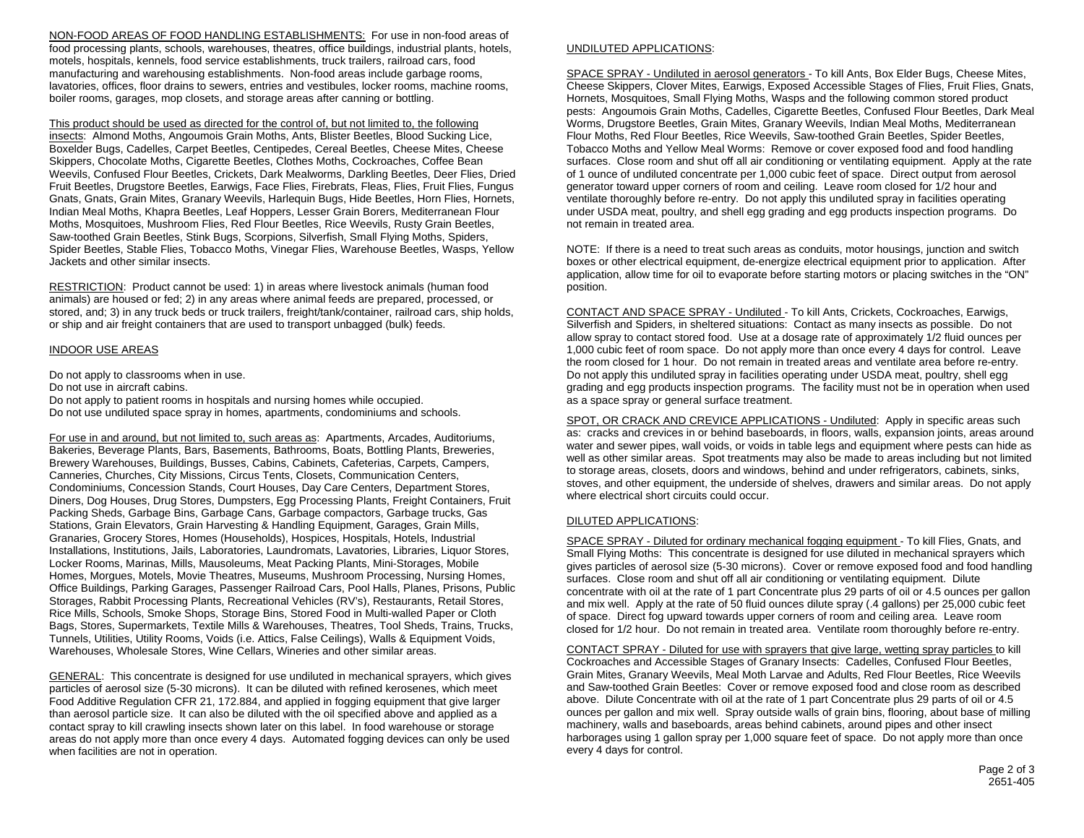NON-FOOD AREAS OF FOOD HANDLING ESTABLISHMENTS: For use in non-food areas of food processing plants, schools, warehouses, theatres, office buildings, industrial plants, hotels, motels, hospitals, kennels, food service establishments, truck trailers, railroad cars, food manufacturing and warehousing establishments. Non-food areas include garbage rooms, lavatories, offices, floor drains to sewers, entries and vestibules, locker rooms, machine rooms, boiler rooms, garages, mop closets, and storage areas after canning or bottling.

This product should be used as directed for the control of, but not limited to, the following insects: Almond Moths, Angoumois Grain Moths, Ants, Blister Beetles, Blood Sucking Lice, Boxelder Bugs, Cadelles, Carpet Beetles, Centipedes, Cereal Beetles, Cheese Mites, Cheese Skippers, Chocolate Moths, Cigarette Beetles, Clothes Moths, Cockroaches, Coffee Bean Weevils, Confused Flour Beetles, Crickets, Dark Mealworms, Darkling Beetles, Deer Flies, Dried Fruit Beetles, Drugstore Beetles, Earwigs, Face Flies, Firebrats, Fleas, Flies, Fruit Flies, Fungus Gnats, Gnats, Grain Mites, Granary Weevils, Harlequin Bugs, Hide Beetles, Horn Flies, Hornets, Indian Meal Moths, Khapra Beetles, Leaf Hoppers, Lesser Grain Borers, Mediterranean Flour Moths, Mosquitoes, Mushroom Flies, Red Flour Beetles, Rice Weevils, Rusty Grain Beetles, Saw-toothed Grain Beetles, Stink Bugs, Scorpions, Silverfish, Small Flying Moths, Spiders, Spider Beetles, Stable Flies, Tobacco Moths, Vinegar Flies, Warehouse Beetles, Wasps, Yellow Jackets and other similar insects.

RESTRICTION: Product cannot be used: 1) in areas where livestock animals (human food animals) are housed or fed; 2) in any areas where animal feeds are prepared, processed, or stored, and; 3) in any truck beds or truck trailers, freight/tank/container, railroad cars, ship holds, or ship and air freight containers that are used to transport unbagged (bulk) feeds.

#### <u>INDOOR USE AREAS</u>

Do not apply to classrooms when in use. Do not use in aircraft cabins.

Do not apply to patient rooms in hospitals and nursing homes while occupied. Do not use undiluted space spray in homes, apartments, condominiums and schools.

For use in and around, but not limited to, such areas as: Apartments, Arcades, Auditoriums, Bakeries, Beverage Plants, Bars, Basements, Bathrooms, Boats, Bottling Plants, Breweries, Brewery Warehouses, Buildings, Busses, Cabins, Cabinets, Cafeterias, Carpets, Campers, Canneries, Churches, City Missions, Circus Tents, Closets, Communication Centers, Condominiums, Concession Stands, Court Houses, Day Care Centers, Department Stores, Diners, Dog Houses, Drug Stores, Dumpsters, Egg Processing Plants, Freight Containers, Fruit Packing Sheds, Garbage Bins, Garbage Cans, Garbage compactors, Garbage trucks, Gas Stations, Grain Elevators, Grain Harvesting & Handling Equipment, Garages, Grain Mills, Granaries, Grocery Stores, Homes (Households), Hospices, Hospitals, Hotels, Industrial Installations, Institutions, Jails, Laboratories, Laundromats, Lavatories, Libraries, Liquor Stores, Locker Rooms, Marinas, Mills, Mausoleums, Meat Packing Plants, Mini-Storages, Mobile Homes, Morgues, Motels, Movie Theatres, Museums, Mushroom Processing, Nursing Homes, Office Buildings, Parking Garages, Passenger Railroad Cars, Pool Halls, Planes, Prisons, Public Storages, Rabbit Processing Plants, Recreational Vehicles (RV's), Restaurants, Retail Stores, Rice Mills, Schools, Smoke Shops, Storage Bins, Stored Food in Multi-walled Paper or Cloth Bags, Stores, Supermarkets, Textile Mills & Warehouses, Theatres, Tool Sheds, Trains, Trucks, Tunnels, Utilities, Utility Rooms, Voids (i.e. Attics, False Ceilings), Walls & Equipment Voids, Warehouses, Wholesale Stores, Wine Cellars, Wineries and other similar areas.

GENERAL: This concentrate is designed for use undiluted in mechanical sprayers, which gives particles of aerosol size (5-30 microns). It can be diluted with refined kerosenes, which meet Food Additive Regulation CFR 21, 172.884, and applied in fogging equipment that give larger than aerosol particle size. It can also be diluted with the oil specified above and applied as a contact spray to kill crawling insects shown later on this label. In food warehouse or storage areas do not apply more than once every 4 days. Automated fogging devices can only be used when facilities are not in operation.

#### UNDILUTED APPLICATIONS:

SPACE SPRAY - Undiluted in aerosol generators - To kill Ants, Box Elder Bugs, Cheese Mites, Cheese Skippers, Clover Mites, Earwigs, Exposed Accessible Stages of Flies, Fruit Flies, Gnats, Hornets, Mosquitoes, Small Flying Moths, Wasps and the following common stored product pests: Angoumois Grain Moths, Cadelles, Cigarette Beetles, Confused Flour Beetles, Dark Meal Worms, Drugstore Beetles, Grain Mites, Granary Weevils, Indian Meal Moths, Mediterranean Flour Moths, Red Flour Beetles, Rice Weevils, Saw-toothed Grain Beetles, Spider Beetles, Tobacco Moths and Yellow Meal Worms: Remove or cover exposed food and food handling surfaces. Close room and shut off all air conditioning or ventilating equipment. Apply at the rate of 1 ounce of undiluted concentrate per 1,000 cubic feet of space. Direct output from aerosol generator toward upper corners of room and ceiling. Leave room closed for 1/2 hour and ventilate thoroughly before re-entry. Do not apply this undiluted spray in facilities operating under USDA meat, poultry, and shell egg grading and egg products inspection programs. Do not remain in treated area.

NOTE: If there is a need to treat such areas as conduits, motor housings, junction and switch boxes or other electrical equipment, de-energize electrical equipment prior to application. After application, allow time for oil to evaporate before starting motors or placing switches in the "ON" position.

CONTACT AND SPACE SPRAY - Undiluted - To kill Ants, Crickets, Cockroaches, Earwigs, Silverfish and Spiders, in sheltered situations: Contact as many insects as possible. Do not allow spray to contact stored food. Use at a dosage rate of approximately 1/2 fluid ounces per 1,000 cubic feet of room space. Do not apply more than once every 4 days for control. Leave the room closed for 1 hour. Do not remain in treated areas and ventilate area before re-entry. Do not apply this undiluted spray in facilities operating under USDA meat, poultry, shell egg grading and egg products inspection programs. The facility must not be in operation when used as a space spray or general surface treatment.

SPOT, OR CRACK AND CREVICE APPLICATIONS - Undiluted: Apply in specific areas such as: cracks and crevices in or behind baseboards, in floors, walls, expansion joints, areas around water and sewer pipes, wall voids, or voids in table legs and equipment where pests can hide as well as other similar areas. Spot treatments may also be made to areas including but not limited to storage areas, closets, doors and windows, behind and under refrigerators, cabinets, sinks, stoves, and other equipment, the underside of shelves, drawers and similar areas. Do not apply where electrical short circuits could occur.

#### DILUTED APPLICATIONS:

SPACE SPRAY - Diluted for ordinary mechanical fogging equipment - To kill Flies, Gnats, and Small Flying Moths: This concentrate is designed for use diluted in mechanical sprayers which gives particles of aerosol size (5-30 microns). Cover or remove exposed food and food handling surfaces. Close room and shut off all air conditioning or ventilating equipment. Dilute concentrate with oil at the rate of 1 part Concentrate plus 29 parts of oil or 4.5 ounces per gallon and mix well. Apply at the rate of 50 fluid ounces dilute spray (.4 gallons) per 25,000 cubic feet of space. Direct fog upward towards upper corners of room and ceiling area. Leave room closed for 1/2 hour. Do not remain in treated area. Ventilate room thoroughly before re-entry.

CONTACT SPRAY - Diluted for use with sprayers that give large, wetting spray particles to kill Cockroaches and Accessible Stages of Granary Insects: Cadelles, Confused Flour Beetles, Grain Mites, Granary Weevils, Meal Moth Larvae and Adults, Red Flour Beetles, Rice Weevils and Saw-toothed Grain Beetles: Cover or remove exposed food and close room as described above. Dilute Concentrate with oil at the rate of 1 part Concentrate plus 29 parts of oil or 4.5 ounces per gallon and mix well. Spray outside walls of grain bins, flooring, about base of milling machinery, walls and baseboards, areas behind cabinets, around pipes and other insect harborages using 1 gallon spray per 1,000 square feet of space. Do not apply more than once every 4 days for control.